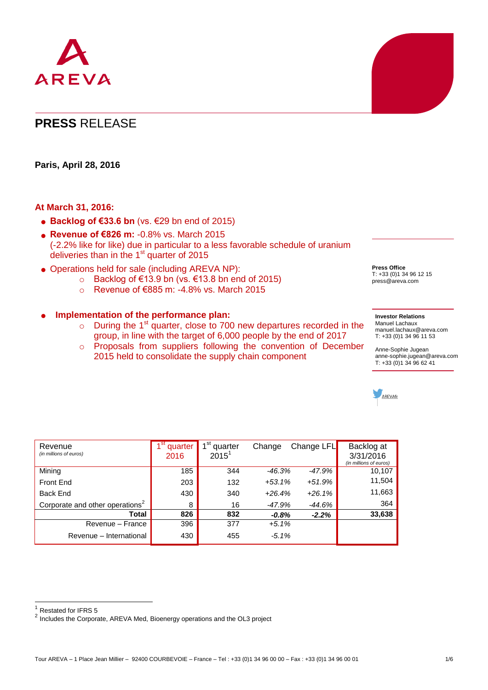

# **PRESS** RELEASE

**Paris, April 28, 2016**

#### **At March 31, 2016:**

- **Backlog of €33.6 bn** (vs. €29 bn end of 2015)
- **Revenue of €826 m:** -0.8% vs. March 2015 (-2.2% like for like) due in particular to a less favorable schedule of uranium deliveries than in the 1<sup>st</sup> quarter of 2015
- Operations held for sale (including AREVA NP):
	- o Backlog of €13.9 bn (vs. €13.8 bn end of 2015)
	- o Revenue of €885 m: -4.8% vs. March 2015

#### **Implementation of the performance plan:**

- $\circ$  During the 1<sup>st</sup> quarter, close to 700 new departures recorded in the group, in line with the target of 6,000 people by the end of 2017
- o Proposals from suppliers following the convention of December 2015 held to consolidate the supply chain component

| Revenue<br>(in millions of euros)           | quarter<br>2016 | $1^{\rm st}$<br>quarter<br>$2015^{\circ}$ | Change   | Change LFL | Backlog at<br>3/31/2016<br>(in millions of euros) |
|---------------------------------------------|-----------------|-------------------------------------------|----------|------------|---------------------------------------------------|
| Mining                                      | 185             | 344                                       | $-46.3%$ | $-47.9%$   | 10,107                                            |
| Front End                                   | 203             | 132                                       | $+53.1%$ | $+51.9%$   | 11,504                                            |
| Back End                                    | 430             | 340                                       | $+26.4%$ | $+26.1%$   | 11,663                                            |
| Corporate and other operations <sup>2</sup> | 8               | 16                                        | $-47.9%$ | $-44.6%$   | 364                                               |
| Total                                       | 826             | 832                                       | $-0.8%$  | $-2.2%$    | 33,638                                            |
| Revenue – France                            | 396             | 377                                       | $+5.1%$  |            |                                                   |
| Revenue - International                     | 430             | 455                                       | $-5.1%$  |            |                                                   |

1 Restated for IFRS 5

**Press Office** T: +33 (0)1 34 96 12 15 press@areva.com

#### **Investor Relations** Manuel Lachaux [manuel.lachaux@areva.com](mailto:manuel.lachaux@areva.com) T: +33 (0)1 34 96 11 53

Anne-Sophie Jugean [anne-sophie.jugean@areva.com](mailto:anne-sophie.jugean@areva.com)  T: +33 (0)1 34 96 62 41



Tour AREVA – 1 Place Jean Millier – 92400 COURBEVOIE – France – Tel : +33 (0)1 34 96 00 00 – Fax : +33 (0)1 34 96 00 01 1/6

 $2$  Includes the Corporate, AREVA Med, Bioenergy operations and the OL3 project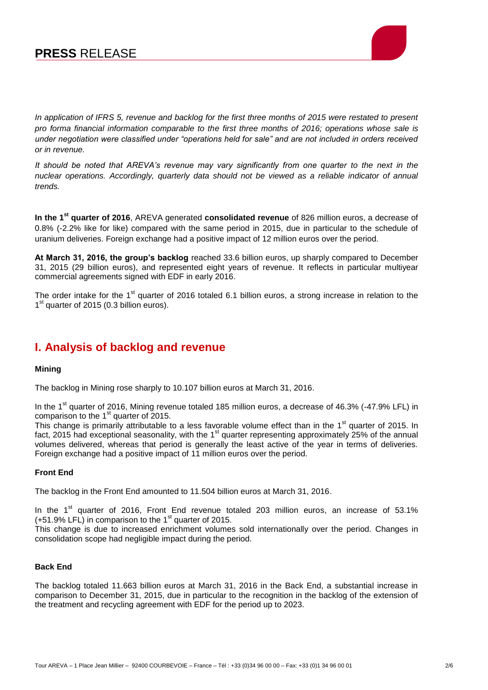# **PRESS** RELEASE



*In application of IFRS 5, revenue and backlog for the first three months of 2015 were restated to present pro forma financial information comparable to the first three months of 2016; operations whose sale is under negotiation were classified under "operations held for sale" and are not included in orders received or in revenue.*

*It should be noted that AREVA's revenue may vary significantly from one quarter to the next in the nuclear operations. Accordingly, quarterly data should not be viewed as a reliable indicator of annual trends.*

**In the 1st quarter of 2016**, AREVA generated **consolidated revenue** of 826 million euros, a decrease of 0.8% (-2.2% like for like) compared with the same period in 2015, due in particular to the schedule of uranium deliveries. Foreign exchange had a positive impact of 12 million euros over the period.

**At March 31, 2016, the group's backlog** reached 33.6 billion euros, up sharply compared to December 31, 2015 (29 billion euros), and represented eight years of revenue. It reflects in particular multiyear commercial agreements signed with EDF in early 2016.

The order intake for the 1<sup>st</sup> quarter of 2016 totaled 6.1 billion euros, a strong increase in relation to the 1<sup>st</sup> quarter of 2015 (0.3 billion euros).

### **I. Analysis of backlog and revenue**

#### **Mining**

The backlog in Mining rose sharply to 10.107 billion euros at March 31, 2016.

In the  $1<sup>st</sup>$  quarter of 2016, Mining revenue totaled 185 million euros, a decrease of 46.3% (-47.9% LFL) in comparison to the  $1<sup>st</sup>$  quarter of 2015.

This change is primarily attributable to a less favorable volume effect than in the 1<sup>st</sup> quarter of 2015. In fact, 2015 had exceptional seasonality, with the 1<sup>st</sup> quarter representing approximately 25% of the annual volumes delivered, whereas that period is generally the least active of the year in terms of deliveries. Foreign exchange had a positive impact of 11 million euros over the period.

#### **Front End**

The backlog in the Front End amounted to 11.504 billion euros at March 31, 2016.

In the 1<sup>st</sup> quarter of 2016, Front End revenue totaled 203 million euros, an increase of 53.1%  $(1.51.9\%$  LFL) in comparison to the 1<sup>st</sup> quarter of 2015.

This change is due to increased enrichment volumes sold internationally over the period. Changes in consolidation scope had negligible impact during the period.

#### **Back End**

The backlog totaled 11.663 billion euros at March 31, 2016 in the Back End, a substantial increase in comparison to December 31, 2015, due in particular to the recognition in the backlog of the extension of the treatment and recycling agreement with EDF for the period up to 2023.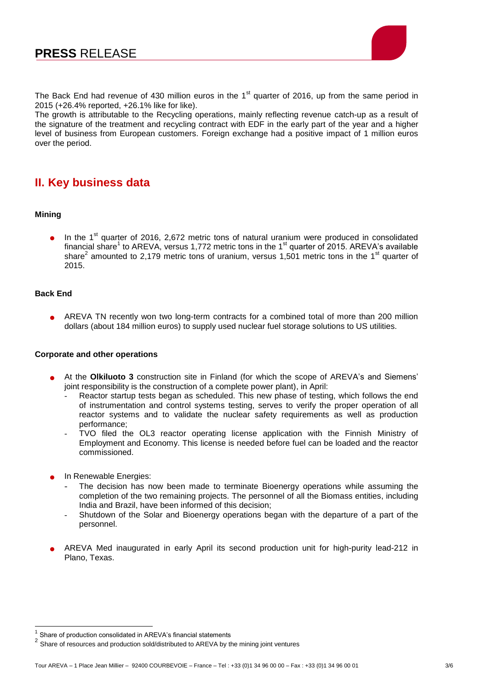

The Back End had revenue of 430 million euros in the  $1<sup>st</sup>$  quarter of 2016, up from the same period in 2015 (+26.4% reported, +26.1% like for like).

The growth is attributable to the Recycling operations, mainly reflecting revenue catch-up as a result of the signature of the treatment and recycling contract with EDF in the early part of the year and a higher level of business from European customers. Foreign exchange had a positive impact of 1 million euros over the period.

## **II. Key business data**

#### **Mining**

In the  $1<sup>st</sup>$  quarter of 2016, 2,672 metric tons of natural uranium were produced in consolidated financial share<sup>1</sup> to AREVA, versus 1,772 metric tons in the 1<sup>st</sup> quarter of 2015. AREVA's available share<sup>2</sup> amounted to 2,179 metric tons of uranium, versus 1,501 metric tons in the 1<sup>st</sup> quarter of 2015.

#### **Back End**

 AREVA TN recently won two long-term contracts for a combined total of more than 200 million dollars (about 184 million euros) to supply used nuclear fuel storage solutions to US utilities.

#### **Corporate and other operations**

- At the **Olkiluoto 3** construction site in Finland (for which the scope of AREVA's and Siemens' joint responsibility is the construction of a complete power plant), in April:
	- Reactor startup tests began as scheduled. This new phase of testing, which follows the end of instrumentation and control systems testing, serves to verify the proper operation of all reactor systems and to validate the nuclear safety requirements as well as production performance;
	- TVO filed the OL3 reactor operating license application with the Finnish Ministry of Employment and Economy. This license is needed before fuel can be loaded and the reactor commissioned.
- In Renewable Energies:
	- The decision has now been made to terminate Bioenergy operations while assuming the completion of the two remaining projects. The personnel of all the Biomass entities, including India and Brazil, have been informed of this decision;
	- Shutdown of the Solar and Bioenergy operations began with the departure of a part of the personnel.
- AREVA Med inaugurated in early April its second production unit for high-purity lead-212 in Plano, Texas.

TERRET CONDET THE SHARE CONSULTED THE SHARE OF SHARE OF SHARE CONSULTED SHARE OF SHARE CONSULTED SHARE CONSULTED SHARE CONSULTED SHARE CONSULTED SHARE CONSULTED SHARE CONSUMERDING SHARE CONSUMERDING SHARE CONSUMERDING SHAR

 $2^{2}$  Share of resources and production sold/distributed to AREVA by the mining joint ventures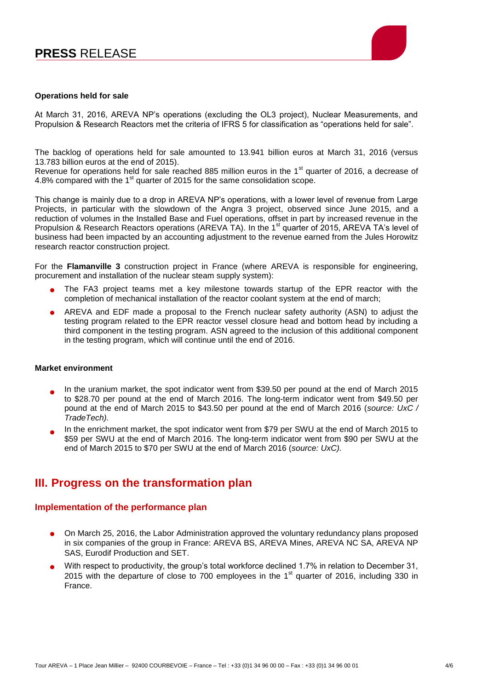

#### **Operations held for sale**

At March 31, 2016, AREVA NP's operations (excluding the OL3 project), Nuclear Measurements, and Propulsion & Research Reactors met the criteria of IFRS 5 for classification as "operations held for sale".

The backlog of operations held for sale amounted to 13.941 billion euros at March 31, 2016 (versus 13.783 billion euros at the end of 2015).

Revenue for operations held for sale reached 885 million euros in the 1<sup>st</sup> quarter of 2016, a decrease of 4.8% compared with the 1<sup>st</sup> quarter of 2015 for the same consolidation scope.

This change is mainly due to a drop in AREVA NP's operations, with a lower level of revenue from Large Projects, in particular with the slowdown of the Angra 3 project, observed since June 2015, and a reduction of volumes in the Installed Base and Fuel operations, offset in part by increased revenue in the Propulsion & Research Reactors operations (AREVA TA). In the 1<sup>st</sup> quarter of 2015, AREVA TA's level of business had been impacted by an accounting adjustment to the revenue earned from the Jules Horowitz research reactor construction project.

For the **Flamanville 3** construction project in France (where AREVA is responsible for engineering, procurement and installation of the nuclear steam supply system):

- The FA3 project teams met a key milestone towards startup of the EPR reactor with the completion of mechanical installation of the reactor coolant system at the end of march;
- AREVA and EDF made a proposal to the French nuclear safety authority (ASN) to adjust the testing program related to the EPR reactor vessel closure head and bottom head by including a third component in the testing program. ASN agreed to the inclusion of this additional component in the testing program, which will continue until the end of 2016.

#### **Market environment**

- $\bullet$ In the uranium market, the spot indicator went from \$39.50 per pound at the end of March 2015 to \$28.70 per pound at the end of March 2016. The long-term indicator went from \$49.50 per pound at the end of March 2015 to \$43.50 per pound at the end of March 2016 (*source: UxC / TradeTech).*
- $\bullet$ In the enrichment market, the spot indicator went from \$79 per SWU at the end of March 2015 to \$59 per SWU at the end of March 2016. The long-term indicator went from \$90 per SWU at the end of March 2015 to \$70 per SWU at the end of March 2016 (*source: UxC).*

### **III. Progress on the transformation plan**

#### **Implementation of the performance plan**

- On March 25, 2016, the Labor Administration approved the voluntary redundancy plans proposed in six companies of the group in France: AREVA BS, AREVA Mines, AREVA NC SA, AREVA NP SAS, Eurodif Production and SET.
- With respect to productivity, the group's total workforce declined 1.7% in relation to December 31, 2015 with the departure of close to 700 employees in the  $1<sup>st</sup>$  quarter of 2016, including 330 in France.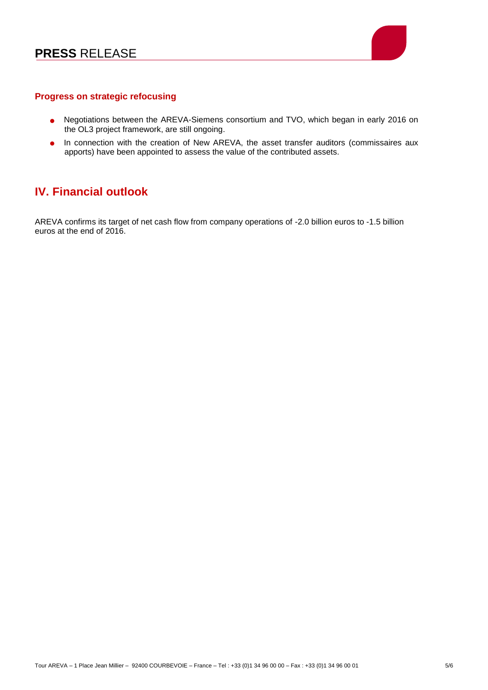

### **Progress on strategic refocusing**

- Negotiations between the AREVA-Siemens consortium and TVO, which began in early 2016 on the OL3 project framework, are still ongoing.
- **.** In connection with the creation of New AREVA, the asset transfer auditors (commissaires aux apports) have been appointed to assess the value of the contributed assets.

### **IV. Financial outlook**

AREVA confirms its target of net cash flow from company operations of -2.0 billion euros to -1.5 billion euros at the end of 2016.